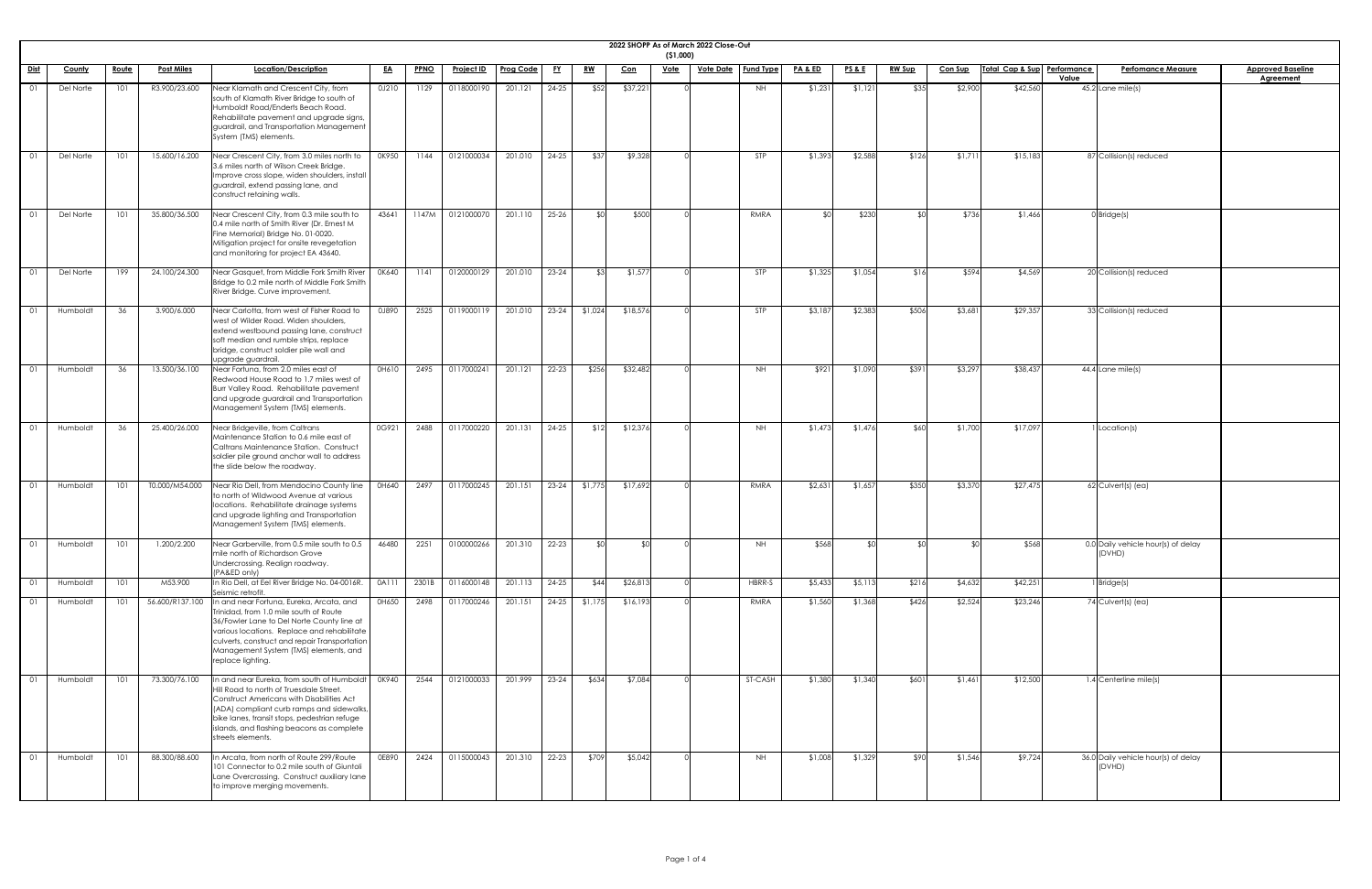|                    |               |              |                   |                                                                                                                                                                                                                                                                                                   |           |             |                                           |           |           |           |            | (51,000)    | 2022 SHOPP As of March 2022 Close-Out |                  |                    |                 |               |                |                             |                                               |                          |
|--------------------|---------------|--------------|-------------------|---------------------------------------------------------------------------------------------------------------------------------------------------------------------------------------------------------------------------------------------------------------------------------------------------|-----------|-------------|-------------------------------------------|-----------|-----------|-----------|------------|-------------|---------------------------------------|------------------|--------------------|-----------------|---------------|----------------|-----------------------------|-----------------------------------------------|--------------------------|
| <u>Dist</u>        | <b>County</b> | <u>Route</u> | <u>Post Miles</u> | Location/Description                                                                                                                                                                                                                                                                              | <u>EA</u> | <b>PPNO</b> | <u>Project ID</u>                         | Prog Code | <u>FY</u> | <u>RW</u> | <u>Con</u> | <u>Vote</u> | <u>Vote Date</u>                      | <b>Fund Type</b> | <u>PA &amp; ED</u> | <u>PS&amp;E</u> | <u>RW Sup</u> | <b>Con Sup</b> | Total Cap & Sup Performance | <b>Perfomance Measure</b><br>Value            | <b>Approved Baseline</b> |
|                    | Del Norte     | 101          | R3.900/23.600     | Near Klamath and Crescent City, from<br>south of Klamath River Bridge to south of<br>Humboldt Road/Enderts Beach Road.<br>Rehabilitate pavement and upgrade signs,<br>guardrail, and Transportation Management<br>System (TMS) elements.                                                          | 0J210     | 1129        | 0118000190                                | 201.121   | $24 - 25$ | \$52      | \$37,221   |             |                                       | NH.              | \$1,231            | \$1,121         | \$35          | \$2,900        | \$42,560                    | $45.2$ Lane mile(s)                           | <b>Agreement</b>         |
|                    | Del Norte     | 101          | 15.600/16.200     | Near Crescent City, from 3.0 miles north to<br>3.6 miles north of Wilson Creek Bridge.<br>Improve cross slope, widen shoulders, install<br>guardrail, extend passing lane, and<br>construct retaining walls.                                                                                      | OK950     | 1144        | 0121000034                                | 201.010   | $24 - 25$ | \$37      | \$9,328    |             |                                       | STP              | \$1,393            | \$2,588         | \$126         | \$1,711        | \$15,183                    | 87 Collision(s) reduced                       |                          |
|                    | Del Norte     | 101          | 35.800/36.500     | Near Crescent City, from 0.3 mile south to<br>0.4 mile north of Smith River (Dr. Ernest M<br>Fine Memorial) Bridge No. 01-0020.<br>Mitigation project for onsite revegetation<br>and monitoring for project EA 43640.                                                                             | 43641     | 1147M       | 0121000070                                | 201.110   | $25 - 26$ | _ ጳ∩      | \$500      |             |                                       | RMRA             | <b>SO</b>          | \$230           |               | \$736          | \$1,466                     | $0$ Bridge(s)                                 |                          |
|                    | Del Norte     | 199          | 24.100/24.300     | Near Gasquet, from Middle Fork Smith River<br>Bridge to 0.2 mile north of Middle Fork Smith<br>River Bridge. Curve improvement.                                                                                                                                                                   | 0K640     | 1141        | 0120000129                                | 201.010   | $23 - 24$ | - \$3     | \$1,577    |             |                                       | STP              | \$1,325            | \$1,054         | \$16          | \$594          | \$4,569                     | 20 Collision(s) reduced                       |                          |
| $\overline{0}1$    | Humboldt      | 36           | 3.900/6.000       | Near Carlotta, from west of Fisher Road to<br>west of Wilder Road. Widen shoulders,<br>extend westbound passing lane, construct<br>soft median and rumble strips, replace<br>bridge, construct soldier pile wall and<br>upgrade guardrail.                                                        | 0J890     | 2525        | 0119000119                                | 201.010   | $23-24$   | \$1,024   | \$18,576   |             |                                       | STP              | \$3,187            | \$2,383         | \$506         | \$3,681        | \$29,357                    | 33 Collision(s) reduced                       |                          |
| $\bigcap_{\Omega}$ |               |              |                   | Humboldt   36   13.500/36.100   Near Fortuna, from 2.0 miles east of<br>Redwood House Road to 1.7 miles west of<br>Burr Valley Road. Rehabilitate pavement<br>and upgrade guardrail and Transportation<br>Management System (TMS) elements.                                                       |           |             | 0H610 2495 0117000241 201.121 22-23 \$256 |           |           |           | \$32,482   |             |                                       | NH               | \$921              | \$1,090         | \$391         | \$3,297        | \$38,437                    | 44.4 Lane mile(s)                             |                          |
| 01                 | Humboldt      | 36           | 25.400/26.000     | Near Bridgeville, from Caltrans<br>Maintenance Station to 0.6 mile east of<br>Caltrans Maintenance Station. Construct<br>soldier pile ground anchor wall to address<br>the slide below the roadway.                                                                                               | 0G921     | 2488        | 0117000220                                | 201.131   | $24 - 25$ | \$12      | \$12,376   |             |                                       | <b>NH</b>        | \$1,473            | \$1,476         | \$60          | \$1,700        | \$17,097                    | Location(s)                                   |                          |
|                    | Humboldt      | 101          | T0.000/M54.000    | Near Rio Dell, from Mendocino County line<br>to north of Wildwood Avenue at various<br>locations. Rehabilitate drainage systems<br>and upgrade lighting and Transportation<br>Management System (TMS) elements.                                                                                   | 0H640     | 2497        | 0117000245                                | 201.151   | $23 - 24$ | \$1,775   | \$17,692   |             |                                       | RMRA             | \$2,631            | \$1,657         | \$350         | \$3,370        | \$27,475                    | 62 Culvert(s) (ea)                            |                          |
| $\overline{0}$     | Humboldt      | 101          | 1.200/2.200       | Near Garberville, from 0.5 mile south to 0.5<br>mile north of Richardson Grove<br>Undercrossing. Realign roadway.<br>(PA&ED only)                                                                                                                                                                 | 46480     | 2251        | 0100000266                                | 201.310   | 22-23     | ו∩\$      | ו∩\$       |             |                                       | <b>NH</b>        | \$568              | ו∩≯             |               |                | \$568                       | 0.0 Daily vehicle hour(s) of delay<br>(DVHD)  |                          |
| - 01               | Humboldt      | 101          | M53.900           | In Rio Dell, at Eel River Bridge No. 04-0016R.<br>Seismic retrofit.                                                                                                                                                                                                                               | 0A111     | 2301B       | 0116000148                                | 201.113   | $24 - 25$ | \$44      | \$26,813   |             |                                       | HBRR-S           | \$5,433            | \$5,113         | \$216         | \$4,632        | \$42,251                    | 1 Bridge(s)                                   |                          |
|                    | Humboldt      | 101          | 56.600/R137.100   | In and near Fortuna, Eureka, Arcata, and<br>Trinidad, from 1.0 mile south of Route<br>36/Fowler Lane to Del Norte County line at<br>various locations. Replace and rehabilitate<br>culverts, construct and repair Transportation<br>Management System (TMS) elements, and<br>replace lighting.    | 0H650     | 2498        | 0117000246                                | 201.151   | $24-25$   | \$1,175   | \$16,193   |             |                                       | RMRA             | \$1,560            | \$1,368         | \$426         | \$2,524        | \$23,246                    | 74 Culvert(s) (ea)                            |                          |
|                    | Humboldt      | 101          | 73.300/76.100     | In and near Eureka, from south of Humboldt<br>Hill Road to north of Truesdale Street.<br>Construct Americans with Disabilities Act<br>(ADA) compliant curb ramps and sidewalks,<br>bike lanes, transit stops, pedestrian refuge<br>islands, and flashing beacons as complete<br>streets elements. | 0K940     | 2544        | 0121000033                                | 201.999   | $23 - 24$ | \$634     | \$7,084    |             |                                       | ST-CASH          | \$1,380            | \$1,340         | \$601         | \$1,461        | \$12,500                    | $1.4$ Centerline mile(s)                      |                          |
| 01                 | Humboldt      | 101          | 88.300/88.600     | In Arcata, from north of Route 299/Route<br>101 Connector to 0.2 mile south of Giuntoli<br>Lane Overcrossing. Construct auxiliary lane<br>to improve merging movements.                                                                                                                           | 0E890     | 2424        | 0115000043                                | 201.310   | $22 - 23$ | \$709     | \$5,042    |             |                                       | NH               | \$1,008            | \$1,329         | \$90          | \$1,546        | \$9,724                     | 36.0 Daily vehicle hour(s) of delay<br>(DVHD) |                          |

| <u>ine</u> |  |  |
|------------|--|--|
|            |  |  |
|            |  |  |
|            |  |  |
|            |  |  |
|            |  |  |
|            |  |  |
|            |  |  |
|            |  |  |
|            |  |  |
|            |  |  |
|            |  |  |
|            |  |  |
|            |  |  |
|            |  |  |
|            |  |  |
|            |  |  |
|            |  |  |
|            |  |  |
|            |  |  |
|            |  |  |
|            |  |  |
|            |  |  |
|            |  |  |
|            |  |  |
|            |  |  |
|            |  |  |
|            |  |  |
|            |  |  |
|            |  |  |
|            |  |  |
|            |  |  |
|            |  |  |
|            |  |  |
|            |  |  |
|            |  |  |
|            |  |  |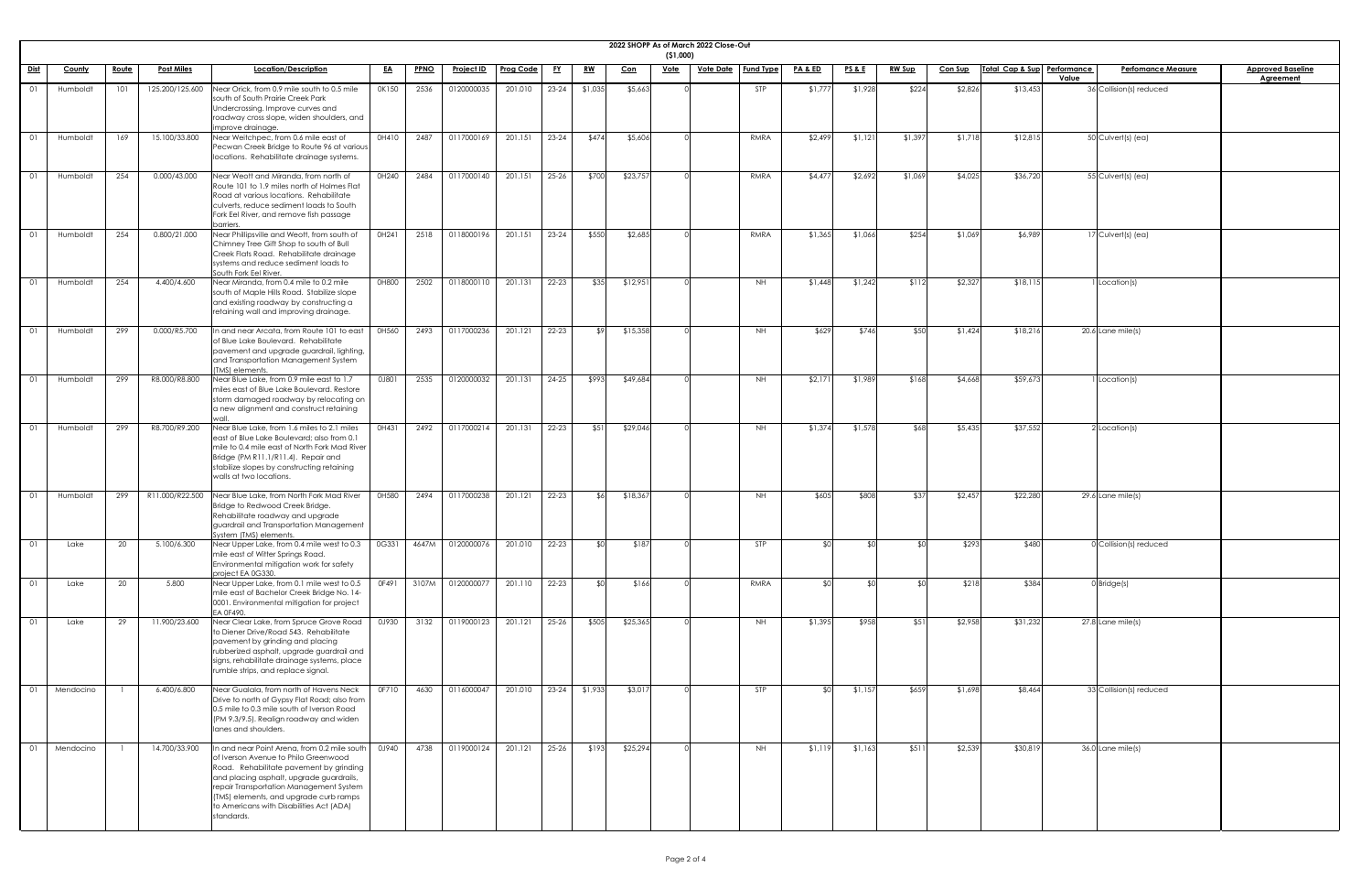|             |               |              |                   |                                                                                                                                                                                                                                                                                                                                    |           |             |                   |                  |           |            |            | (51,000)    | 2022 SHOPP As of March 2022 Close-Out |           |                    |                 |               |                |                             |                                    |                                              |
|-------------|---------------|--------------|-------------------|------------------------------------------------------------------------------------------------------------------------------------------------------------------------------------------------------------------------------------------------------------------------------------------------------------------------------------|-----------|-------------|-------------------|------------------|-----------|------------|------------|-------------|---------------------------------------|-----------|--------------------|-----------------|---------------|----------------|-----------------------------|------------------------------------|----------------------------------------------|
| <u>Dist</u> | <b>County</b> | <u>Route</u> | <b>Post Miles</b> | Location/Description                                                                                                                                                                                                                                                                                                               | <u>EA</u> | <b>PPNO</b> | <u>Project ID</u> | <b>Prog Code</b> | <u>FY</u> | <u>RW</u>  | <u>Con</u> | <u>Vote</u> | <u>Vote Date</u>                      | Fund Type | <u>PA &amp; ED</u> | <b>PS&amp;E</b> | <u>RW Sup</u> | <b>Con Sup</b> | Total Cap & Sup Performance | <b>Perfomance Measure</b><br>Value | <b>Approved Baseline</b><br><b>Agreement</b> |
|             | Humboldt      | 101          | 125.200/125.600   | Near Orick, from 0.9 mile south to 0.5 mile<br>south of South Prairie Creek Park<br>Undercrossing. Improve curves and<br>roadway cross slope, widen shoulders, and<br>improve drainage.                                                                                                                                            | OK150     | 2536        | 0120000035        | 201.010          | $23 - 24$ | \$1,035    | \$5,663    |             |                                       | STP       | \$1,777            | \$1,928         | \$224         | \$2,826        | \$13,453                    | 36 Collision(s) reduced            |                                              |
| 01          | Humboldt      | 169          | 15.100/33.800     | Near Weitchpec, from 0.6 mile east of<br>Pecwan Creek Bridge to Route 96 at various<br>locations. Rehabilitate drainage systems.                                                                                                                                                                                                   | 0H410     | 2487        | 0117000169        | 201.151          | $23 - 24$ | \$474      | \$5,606    |             |                                       | RMRA      | \$2,499            | \$1,121         | \$1,397       | \$1,718        | \$12,815                    | 50 Culvert(s) (ea)                 |                                              |
|             | Humboldt      | 254          | 0.000/43.000      | Near Weott and Miranda, from north of<br>Route 101 to 1.9 miles north of Holmes Flat<br>Road at various locations. Rehabilitate<br>culverts, reduce sediment loads to South<br>Fork Eel River, and remove fish passage<br>barriers                                                                                                 | 0H240     | 2484        | 0117000140        | 201.151          | $25 - 26$ | \$700      | \$23,757   |             |                                       | RMRA      | \$4,477            | \$2,692         | \$1,069       | \$4,025        | \$36,720                    | 55 Culvert(s) (ea)                 |                                              |
|             | Humboldt      | 254          | 0.800/21.000      | Near Phillipsville and Weott, from south of<br>Chimney Tree Gift Shop to south of Bull<br>Creek Flats Road. Rehabilitate drainage<br>systems and reduce sediment loads to<br>South Fork Eel River.                                                                                                                                 | OH241     | 2518        | 0118000196        | 201.151          | $23 - 24$ | \$550      | \$2,685    |             |                                       | RMRA      | \$1,365            | \$1,066         | \$254         | \$1,069        | \$6,989                     | 17 Culvert(s) (ea)                 |                                              |
|             | Humboldt      | 254          | 4.400/4.600       | Near Miranda, from 0.4 mile to 0.2 mile<br>south of Maple Hills Road. Stabilize slope<br>and existing roadway by constructing a<br>retaining wall and improving drainage.                                                                                                                                                          | 0H800     | 2502        | 0118000110        | 201.131          | $22 - 23$ | \$35       | \$12,951   |             |                                       | NH        | \$1,448            | \$1,242         | \$112         | \$2,327        | \$18,115                    | Location(s)                        |                                              |
|             | Humboldt      | 299          | 0.000/R5.700      | n and near Arcata, from Route 101 to east<br>of Blue Lake Boulevard. Rehabilitate<br>pavement and upgrade guardrail, lighting,<br>and Transportation Management System<br>(TMS) elements.                                                                                                                                          | 0H560     | 2493        | 0117000236        | 201.121          | 22-23     | \$9        | \$15,358   |             |                                       | <b>NH</b> | \$629              | \$746           | \$50          | \$1,424        | \$18,216                    | $20.6$ Lane mile(s)                |                                              |
|             | Humboldt      | 299          | R8.000/R8.800     | Near Blue Lake, from 0.9 mile east to 1.7<br>miles east of Blue Lake Boulevard. Restore<br>storm damaged roadway by relocating on<br>a new alignment and construct retaining                                                                                                                                                       | 0J801     | 2535        | 0120000032        | 201.131          | $24 - 25$ | \$993      | \$49,684   |             |                                       | <b>NH</b> | \$2,171            | \$1,989         | \$168         | \$4,668        | \$59,673                    | Location(s)                        |                                              |
| $\bigcap$   | Humboldt      | 299          | R8.700/R9.200     | Near Blue Lake, from 1.6 miles to 2.1 miles<br>east of Blue Lake Boulevard; also from 0.1<br>mile to 0.4 mile east of North Fork Mad River<br>Bridge (PM R11.1/R11.4). Repair and<br>stabilize slopes by constructing retaining<br>walls at two locations.                                                                         | OH431     | 2492        | 0117000214        | 201.131          | $22 - 23$ | \$51       | \$29,046   |             |                                       | NH        | \$1,374            | \$1,578         | \$68          | \$5,435        | \$37,552                    | $2$ Location(s)                    |                                              |
|             | Humboldt      | 299          | R11.000/R22.500   | Near Blue Lake, from North Fork Mad River<br>Bridge to Redwood Creek Bridge.<br>Rehabilitate roadway and upgrade<br>guardrail and Transportation Management<br>System (TMS) elements.                                                                                                                                              | 0H580     | 2494        | 0117000238        | 201.121          | $22 - 23$ | <b>\$6</b> | \$18,367   |             |                                       | NH        | \$605              | \$808           | \$37          | \$2,457        | \$22,280                    | $29.6$ Lane mile(s)                |                                              |
| 01          | Lake          | 20           | 5.100/6.300       | Near Upper Lake, from 0.4 mile west to 0.3<br>mile east of Witter Springs Road.<br>Environmental mitigation work for safety<br>project EA 0G330.                                                                                                                                                                                   | 0G331     | 4647M       | 0120000076        | 201.010          | $22 - 23$ | <b>\$0</b> | \$187      |             |                                       | STP       | ና በ                | _ ⊄ Ր           |               | \$293          | \$480                       | 0 Collision(s) reduced             |                                              |
|             | Lake          | 20           | 5.800             | Near Upper Lake, from 0.1 mile west to 0.5<br>mile east of Bachelor Creek Bridge No. 14-<br>0001. Environmental mitigation for project<br>EA 0F490.                                                                                                                                                                                | OF491     | 3107M       | 0120000077        | 201.110          | 22-23     |            | \$166      |             |                                       | RMRA      | ላ በ                | ላ ተ             |               | \$218          | \$384                       | $0$ Bridge(s)                      |                                              |
| 01          | Lake          | 29           | 11.900/23.600     | Near Clear Lake, from Spruce Grove Road<br>to Diener Drive/Road 543. Rehabilitate<br>pavement by grinding and placing<br>rubberized asphalt, upgrade guardrail and<br>signs, rehabilitate drainage systems, place<br>rumble strips, and replace signal.                                                                            | 0J930     | 3132        | 0119000123        | 201.121          | $25 - 26$ | \$505      | \$25,365   |             |                                       | <b>NH</b> | \$1,395            | \$958           | \$51          | \$2,958        | \$31,232                    | 27.8 Lane mile(s)                  |                                              |
|             | Mendocino     |              | 6.400/6.800       | Near Gualala, from north of Havens Neck<br>Drive to north of Gypsy Flat Road; also from<br>0.5 mile to 0.3 mile south of Iverson Road<br>(PM 9.3/9.5). Realign roadway and widen<br>lanes and shoulders.                                                                                                                           | OF710     | 4630        | 0116000047        | 201.010          | $23 - 24$ | \$1,933    | \$3,017    |             |                                       | STP       |                    | \$1,157         | \$659         | \$1,698        | \$8,464                     | 33 Collision(s) reduced            |                                              |
| 01          | Mendocino     |              | 14.700/33.900     | In and near Point Arena, from 0.2 mile south   0J940<br>of Iverson Avenue to Philo Greenwood<br>Road. Rehabilitate pavement by grinding<br>and placing asphalt, upgrade guardrails,<br>repair Transportation Management System<br>(TMS) elements, and upgrade curb ramps<br>to Americans with Disabilities Act (ADA)<br>standards. |           | 4738        | 0119000124        | 201.121          | 25-26     | \$193      | \$25,294   |             |                                       | <b>NH</b> | \$1,119            | \$1,163         | \$511         | \$2,539        | \$30,819                    | 36.0 Lane mile(s)                  |                                              |

| <u>ine</u> |  |
|------------|--|
|            |  |
|            |  |
|            |  |
|            |  |
|            |  |
|            |  |
|            |  |
|            |  |
|            |  |
|            |  |
|            |  |
|            |  |
|            |  |
|            |  |
|            |  |
|            |  |
|            |  |
|            |  |
|            |  |
|            |  |
|            |  |
|            |  |
|            |  |
|            |  |
|            |  |
|            |  |
|            |  |
|            |  |
|            |  |
|            |  |
|            |  |
|            |  |
|            |  |
|            |  |
|            |  |
|            |  |
|            |  |
|            |  |
|            |  |
|            |  |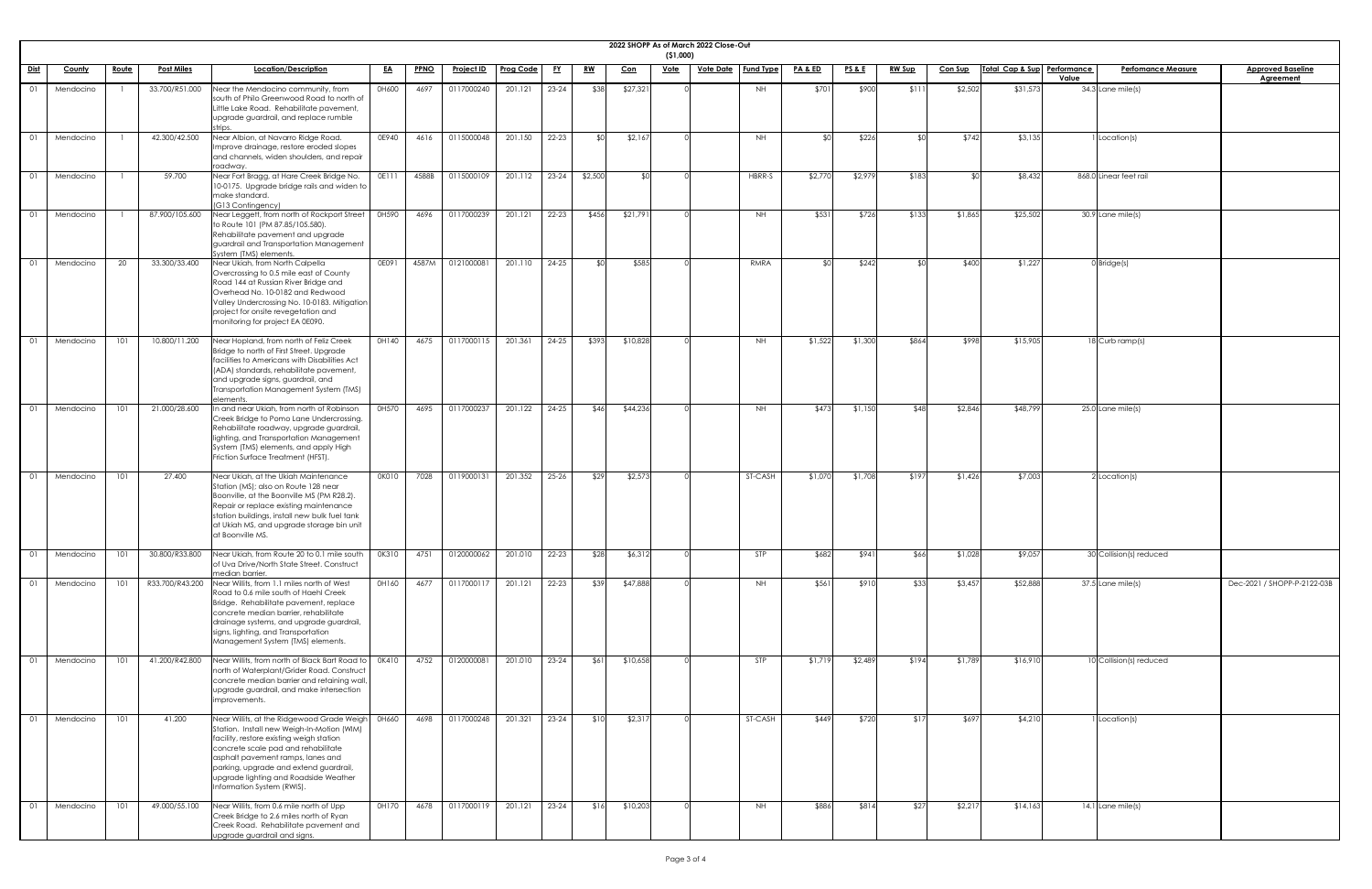|                |               |              |                   |                                                                                                                                                                                                                                                                                                                                   |           |             |                   |           |           |           |            | (51,000)    | 2022 SHOPP As of March 2022 Close-Out |             |                    |                 |               |                |                             |                                    |                                              |
|----------------|---------------|--------------|-------------------|-----------------------------------------------------------------------------------------------------------------------------------------------------------------------------------------------------------------------------------------------------------------------------------------------------------------------------------|-----------|-------------|-------------------|-----------|-----------|-----------|------------|-------------|---------------------------------------|-------------|--------------------|-----------------|---------------|----------------|-----------------------------|------------------------------------|----------------------------------------------|
| <u>Dist</u>    | <b>County</b> | <u>Route</u> | <b>Post Miles</b> | Location/Description                                                                                                                                                                                                                                                                                                              | <u>EA</u> | <u>PPNO</u> | <u>Project ID</u> | Prog Code | <u>FY</u> | <u>RW</u> | <u>Con</u> | <u>Vote</u> | <u>Vote Date</u>   Fund Type          |             | <b>PA &amp; ED</b> | <u>PS&amp;E</u> | <b>RW Sup</b> | <u>Con Sup</u> | Total Cap & Sup Performance | <b>Perfomance Measure</b><br>Value | <b>Approved Baseline</b><br><b>Agreement</b> |
|                | Mendocino     |              | 33.700/R51.000    | Near the Mendocino community, from<br>south of Philo Greenwood Road to north of<br>Little Lake Road. Rehabilitate pavement,<br>upgrade guardrail, and replace rumble                                                                                                                                                              | 0H600     | 4697        | 0117000240        | 201.121   | $23 - 24$ | \$38      | \$27,321   |             |                                       | NH          | \$701              | \$900           | \$11          | \$2,502        | \$31,573                    | 34.3 Lane mile(s)                  |                                              |
| O <sub>1</sub> | Mendocino     |              | 42.300/42.500     | Near Albion, at Navarro Ridge Road.<br>Improve drainage, restore eroded slopes<br>and channels, widen shoulders, and repair<br>roadway.                                                                                                                                                                                           | 0E940     | 4616        | 0115000048        | 201.150   | 22-23     | SOI.      | \$2,167    |             |                                       | <b>NH</b>   |                    | \$226           |               | \$742          | \$3,135                     | Location(s)                        |                                              |
| - 01           | Mendocino     |              | 59.700            | Near Fort Bragg, at Hare Creek Bridge No.<br>10-0175. Upgrade bridge rails and widen to<br>make standard.<br>(G13 Contingency)                                                                                                                                                                                                    | 0E111     | 4588B       | 0115000109        | 201.112   | $23-24$   | \$2,500   | \$0        |             |                                       | HBRR-S      | \$2,77             | \$2,979         | \$183         | ≮∩             | \$8,432                     | 868.0 Linear feet rail             |                                              |
|                | Mendocino     |              | 87.900/105.600    | Near Leggett, from north of Rockport Street<br>to Route 101 (PM 87.85/105.580).<br>Rehabilitate pavement and upgrade<br>guardrail and Transportation Management<br>System (TMS) elements.                                                                                                                                         | 0H590     | 4696        | 0117000239        | 201.121   | $22 - 23$ | \$456     | \$21,791   |             |                                       | NH          | \$531              | \$726           | \$133         | \$1,865        | \$25,502                    | $\overline{30.9}$ Lane mile(s)     |                                              |
|                | Mendocino     | -20          | 33.300/33.400     | Near Ukiah, from North Calpella<br>Overcrossing to 0.5 mile east of County<br>Road 144 at Russian River Bridge and<br>Overhead No. 10-0182 and Redwood<br>Valley Undercrossing No. 10-0183. Mitigation<br>project for onsite revegetation and<br>monitoring for project EA 0E090.                                                 | OE091     | 4587M       | 0121000081        | 201.110   | $24 - 25$ | ו∩≯       | \$585      |             |                                       | <b>RMRA</b> |                    | \$242           |               | \$400          | \$1,227                     | $0$ Bridge(s)                      |                                              |
|                | Mendocino     | 101          | 10.800/11.200     | Near Hopland, from north of Feliz Creek<br>Bridge to north of First Street. Upgrade<br>facilities to Americans with Disabilities Act<br>(ADA) standards, rehabilitate pavement,<br>and upgrade signs, guardrail, and<br>Transportation Management System (TMS)<br>elements.                                                       | 0H140     | 4675        | 0117000115        | 201.361   | $24 - 25$ | \$393     | \$10,828   |             |                                       | NH          | \$1,522            | \$1,300         | \$864         | \$998          | \$15,905                    | 18 Curb ramp(s)                    |                                              |
| 01             | Mendocino     | 101          | 21.000/28.600     | n and near Ukiah, from north of Robinson<br>Creek Bridge to Pomo Lane Undercrossing.<br>Rehabilitate roadway, upgrade guardrail,<br>lighting, and Transportation Management<br>System (TMS) elements, and apply High<br>Friction Surface Treatment (HFST).                                                                        | 0H570     | 4695        | 0117000237        | 201.122   | $24 - 25$ | \$46      | \$44,236   |             |                                       | <b>NH</b>   | \$473              | \$1,150         | \$48          | \$2,846        | \$48,799                    | 25.0 Lane mile(s)                  |                                              |
|                | Mendocino     | 101          | 27.400            | Near Ukiah, at the Ukiah Maintenance<br>Station (MS); also on Route 128 near<br>Boonville, at the Boonville MS (PM R28.2).<br>Repair or replace existing maintenance<br>station buildings, install new bulk fuel tank<br>at Ukiah MS, and upgrade storage bin unit<br>at Boonville MS.                                            | 0K010     | 7028        | 0119000131        | 201.352   | $25 - 26$ | \$29      | \$2,573    |             |                                       | ST-CASH     | \$1,070            | \$1,708         | \$197         | \$1,426        | \$7,003                     | $2$ Location(s)                    |                                              |
|                | Mendocino     | 101          | 30.800/R33.800    | Near Ukiah, from Route 20 to 0.1 mile south<br>of Uva Drive/North State Street. Construct<br>median barrier.                                                                                                                                                                                                                      | 0K310     | 4751        | 0120000062        | 201.010   | $22 - 23$ | \$28      | \$6,312    |             |                                       | STP         | \$682              | \$941           | \$66          | \$1,028        | \$9,057                     | 30 Collision(s) reduced            |                                              |
| - 01           | Mendocino     | 101          | R33.700/R43.200   | Near Willits, from 1.1 miles north of West<br>Road to 0.6 mile south of Haehl Creek<br>Bridge. Rehabilitate pavement, replace<br>concrete median barrier, rehabilitate<br>drainage systems, and upgrade guardrail,<br>signs, lighting, and Transportation<br>Management System (TMS) elements.                                    | 0H160     | 4677        | 0117000117        | 201.121   | $22 - 23$ | \$39      | \$47,888   |             |                                       | <b>NH</b>   | \$561              | \$910           | \$33          | \$3,457        | \$52,888                    | $37.5$ Lane mile(s)                | Dec-2021 / SHOPP-P-2122-03B                  |
|                | Mendocino     | 101          | 41.200/R42.800    | Near Willits, from north of Black Bart Road to<br>north of Waterplant/Grider Road. Construct<br>concrete median barrier and retaining wall,<br>upgrade guardrail, and make intersection<br>improvements.                                                                                                                          | 0K410     | 4752        | 0120000081        | 201.010   | $23 - 24$ | \$61      | \$10,658   |             |                                       | <b>STP</b>  | \$1,71             | \$2,489         | \$194         | \$1,789        | \$16,910                    | 10 Collision(s) reduced            |                                              |
| 01             | Mendocino     | 101          | 41.200            | Near Willits, at the Ridgewood Grade Weigh<br>Station. Install new Weigh-In-Motion (WIM)<br>facility, restore existing weigh station<br>concrete scale pad and rehabilitate<br>asphalt pavement ramps, lanes and<br>parking, upgrade and extend guardrail,<br>upgrade lighting and Roadside Weather<br>Information System (RWIS). | 0H660     | 4698        | 0117000248        | 201.321   | $23 - 24$ | \$10      | \$2,317    |             |                                       | ST-CASH     | \$449              | \$720           | \$17          | \$697          | \$4,210                     | I Location(s)                      |                                              |
|                | Mendocino     | 101          | 49.000/55.100     | Near Willits, from 0.6 mile north of Upp<br>Creek Bridge to 2.6 miles north of Ryan<br>Creek Road. Rehabilitate pavement and<br>upgrade guardrail and signs.                                                                                                                                                                      | 0H170     | 4678        | 0117000119        | 201.121   | $23 - 24$ | \$16      | \$10,203   |             |                                       | NH          | \$886              | \$814           | \$27          | \$2,217        | \$14,163                    | 14.1 Lane mile(s)                  |                                              |

| $\frac{1}{\text{ine}}$ |
|------------------------|
|                        |
|                        |
|                        |
|                        |
|                        |
|                        |
|                        |
|                        |
|                        |
|                        |
|                        |
|                        |
|                        |
|                        |
|                        |
|                        |
|                        |
|                        |
|                        |
|                        |
|                        |
|                        |
|                        |
|                        |
|                        |
|                        |
|                        |
|                        |
|                        |
| 2122-03B               |
|                        |
|                        |
|                        |
|                        |
|                        |
|                        |
|                        |
|                        |
|                        |
|                        |
|                        |
|                        |
|                        |
|                        |
|                        |